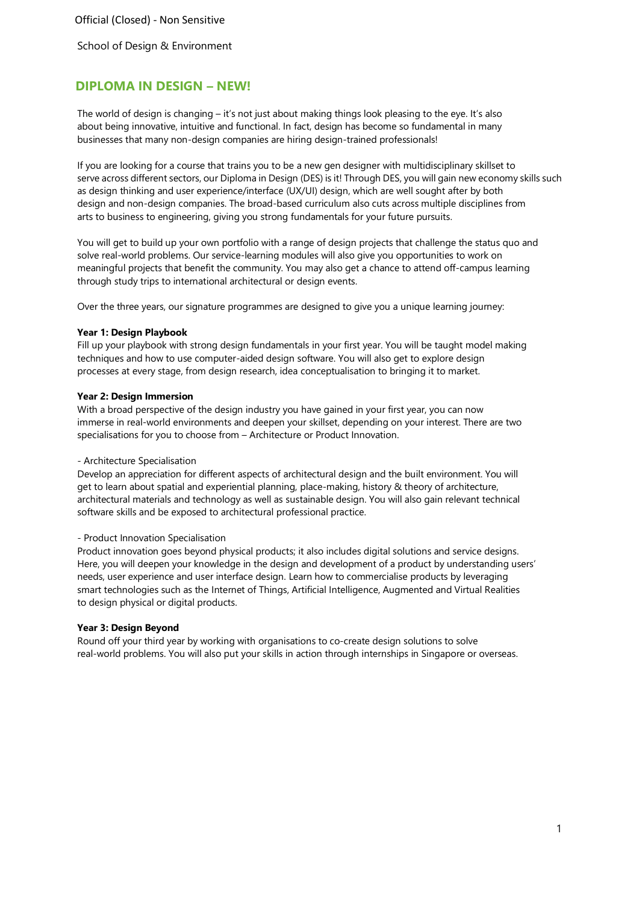# **DIPLOMA IN DESIGN – NEW!**

The world of design is changing – it's not just about making things look pleasing to the eye. It's also about being innovative, intuitive and functional. In fact, design has become so fundamental in many businesses that many non-design companies are hiring design-trained professionals!

If you are looking for a course that trains you to be a new gen designer with multidisciplinary skillset to serve across different sectors, our Diploma in Design (DES) is it! Through DES, you will gain new economy skills such as design thinking and user experience/interface (UX/UI) design, which are well sought after by both design and non-design companies. The broad-based curriculum also cuts across multiple disciplines from arts to business to engineering, giving you strong fundamentals for your future pursuits.

You will get to build up your own portfolio with a range of design projects that challenge the status quo and solve real-world problems. Our service-learning modules will also give you opportunities to work on meaningful projects that benefit the community. You may also get a chance to attend off-campus learning through study trips to international architectural or design events.

Over the three years, our signature programmes are designed to give you a unique learning journey:

#### **Year 1: Design Playbook**

Fill up your playbook with strong design fundamentals in your first year. You will be taught model making techniques and how to use computer-aided design software. You will also get to explore design processes at every stage, from design research, idea conceptualisation to bringing it to market.

## **Year 2: Design Immersion**

With a broad perspective of the design industry you have gained in your first year, you can now immerse in real-world environments and deepen your skillset, depending on your interest. There are two specialisations for you to choose from – Architecture or Product Innovation.

#### - Architecture Specialisation

Develop an appreciation for different aspects of architectural design and the built environment. You will get to learn about spatial and experiential planning, place-making, history & theory of architecture, architectural materials and technology as well as sustainable design. You will also gain relevant technical software skills and be exposed to architectural professional practice.

#### - Product Innovation Specialisation

Product innovation goes beyond physical products; it also includes digital solutions and service designs. Here, you will deepen your knowledge in the design and development of a product by understanding users' needs, user experience and user interface design. Learn how to commercialise products by leveraging smart technologies such as the Internet of Things, Artificial Intelligence, Augmented and Virtual Realities to design physical or digital products.

## **Year 3: Design Beyond**

Round off your third year by working with organisations to co-create design solutions to solve real-world problems. You will also put your skills in action through internships in Singapore or overseas.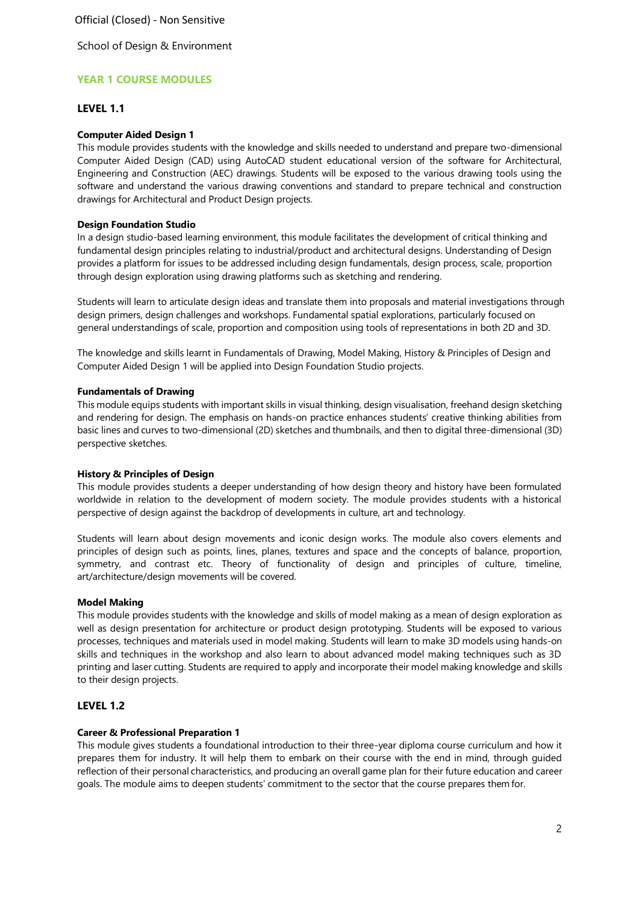Official (Closed) - Non Sensitive

School of Design & Environment

# **YEAR 1 COURSE MODULES**

# **LEVEL 1.1**

## **Computer Aided Design 1**

This module provides students with the knowledge and skills needed to understand and prepare two-dimensional Computer Aided Design (CAD) using AutoCAD student educational version of the software for Architectural, Engineering and Construction (AEC) drawings. Students will be exposed to the various drawing tools using the software and understand the various drawing conventions and standard to prepare technical and construction drawings for Architectural and Product Design projects.

## **Design Foundation Studio**

In a design studio-based learning environment, this module facilitates the development of critical thinking and fundamental design principles relating to industrial/product and architectural designs. Understanding of Design provides a platform for issues to be addressed including design fundamentals, design process, scale, proportion through design exploration using drawing platforms such as sketching and rendering.

Students will learn to articulate design ideas and translate them into proposals and material investigations through design primers, design challenges and workshops. Fundamental spatial explorations, particularly focused on general understandings of scale, proportion and composition using tools of representations in both 2D and 3D.

The knowledge and skills learnt in Fundamentals of Drawing, Model Making, History & Principles of Design and Computer Aided Design 1 will be applied into Design Foundation Studio projects.

## **Fundamentals of Drawing**

This module equips students with important skills in visual thinking, design visualisation, freehand design sketching and rendering for design. The emphasis on hands-on practice enhances students' creative thinking abilities from basic lines and curves to two-dimensional (2D) sketches and thumbnails, and then to digital three-dimensional (3D) perspective sketches.

#### **History & Principles of Design**

This module provides students a deeper understanding of how design theory and history have been formulated worldwide in relation to the development of modern society. The module provides students with a historical perspective of design against the backdrop of developments in culture, art and technology.

Students will learn about design movements and iconic design works. The module also covers elements and principles of design such as points, lines, planes, textures and space and the concepts of balance, proportion, symmetry, and contrast etc. Theory of functionality of design and principles of culture, timeline, art/architecture/design movements will be covered.

#### **Model Making**

This module provides students with the knowledge and skills of model making as a mean of design exploration as well as design presentation for architecture or product design prototyping. Students will be exposed to various processes, techniques and materials used in model making. Students will learn to make 3D models using hands-on skills and techniques in the workshop and also learn to about advanced model making techniques such as 3D printing and laser cutting. Students are required to apply and incorporate their model making knowledge and skills to their design projects.

# **LEVEL 1.2**

#### **Career & Professional Preparation 1**

This module gives students a foundational introduction to their three-year diploma course curriculum and how it prepares them for industry. It will help them to embark on their course with the end in mind, through guided reflection of their personal characteristics, and producing an overall game plan for their future education and career goals. The module aims to deepen students' commitment to the sector that the course prepares them for.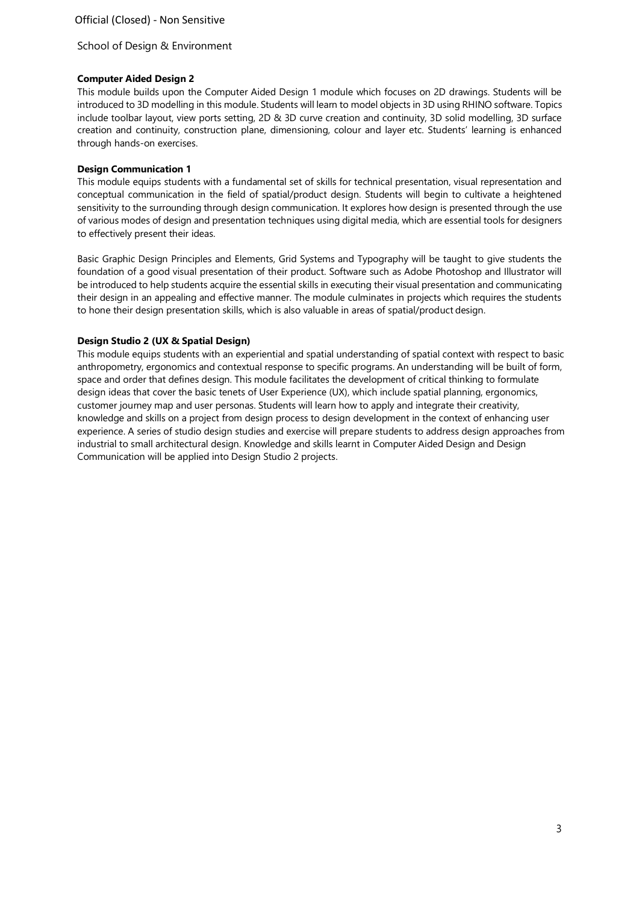## **Computer Aided Design 2**

This module builds upon the Computer Aided Design 1 module which focuses on 2D drawings. Students will be introduced to 3D modelling in this module. Students will learn to model objects in 3D using RHINO software. Topics include toolbar layout, view ports setting, 2D & 3D curve creation and continuity, 3D solid modelling, 3D surface creation and continuity, construction plane, dimensioning, colour and layer etc. Students' learning is enhanced through hands-on exercises.

## **Design Communication 1**

This module equips students with a fundamental set of skills for technical presentation, visual representation and conceptual communication in the field of spatial/product design. Students will begin to cultivate a heightened sensitivity to the surrounding through design communication. It explores how design is presented through the use of various modes of design and presentation techniques using digital media, which are essential tools for designers to effectively present their ideas.

Basic Graphic Design Principles and Elements, Grid Systems and Typography will be taught to give students the foundation of a good visual presentation of their product. Software such as Adobe Photoshop and Illustrator will be introduced to help students acquire the essential skills in executing their visual presentation and communicating their design in an appealing and effective manner. The module culminates in projects which requires the students to hone their design presentation skills, which is also valuable in areas of spatial/product design.

# **Design Studio 2 (UX & Spatial Design)**

This module equips students with an experiential and spatial understanding of spatial context with respect to basic anthropometry, ergonomics and contextual response to specific programs. An understanding will be built of form, space and order that defines design. This module facilitates the development of critical thinking to formulate design ideas that cover the basic tenets of User Experience (UX), which include spatial planning, ergonomics, customer journey map and user personas. Students will learn how to apply and integrate their creativity, knowledge and skills on a project from design process to design development in the context of enhancing user experience. A series of studio design studies and exercise will prepare students to address design approaches from industrial to small architectural design. Knowledge and skills learnt in Computer Aided Design and Design Communication will be applied into Design Studio 2 projects.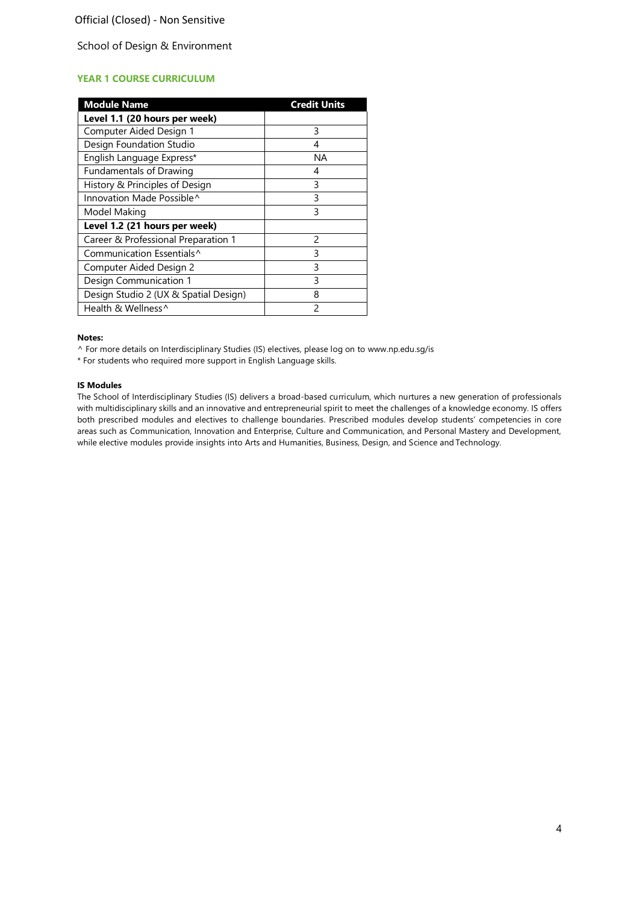# **YEAR 1 COURSE CURRICULUM**

| <b>Module Name</b>                    | <b>Credit Units</b> |
|---------------------------------------|---------------------|
| Level 1.1 (20 hours per week)         |                     |
| Computer Aided Design 1               | 3                   |
| Design Foundation Studio              | 4                   |
| English Language Express*             | ΝA                  |
| <b>Fundamentals of Drawing</b>        | 4                   |
| History & Principles of Design        | 3                   |
| Innovation Made Possible <sup>^</sup> | 3                   |
| Model Making                          | 3                   |
| Level 1.2 (21 hours per week)         |                     |
| Career & Professional Preparation 1   | $\mathfrak{p}$      |
| Communication Essentials <sup>^</sup> | ς                   |
| Computer Aided Design 2               | 3                   |
| Design Communication 1                | ς                   |
| Design Studio 2 (UX & Spatial Design) | 8                   |
| Health & Wellness^                    | $\mathcal{P}$       |

#### **Notes:**

^ For more details on Interdisciplinary Studies (IS) electives, please log on to [www.np.edu.sg/is](http://www.np.edu.sg/is/)

\* For students who required more support in English Language skills.

#### **IS Modules**

The School of Interdisciplinary Studies (IS) delivers a broad-based curriculum, which nurtures a new generation of professionals with multidisciplinary skills and an innovative and entrepreneurial spirit to meet the challenges of a knowledge economy. IS offers both prescribed modules and electives to challenge boundaries. Prescribed modules develop students' competencies in core areas such as Communication, Innovation and Enterprise, Culture and Communication, and Personal Mastery and Development, while elective modules provide insights into Arts and Humanities, Business, Design, and Science and Technology.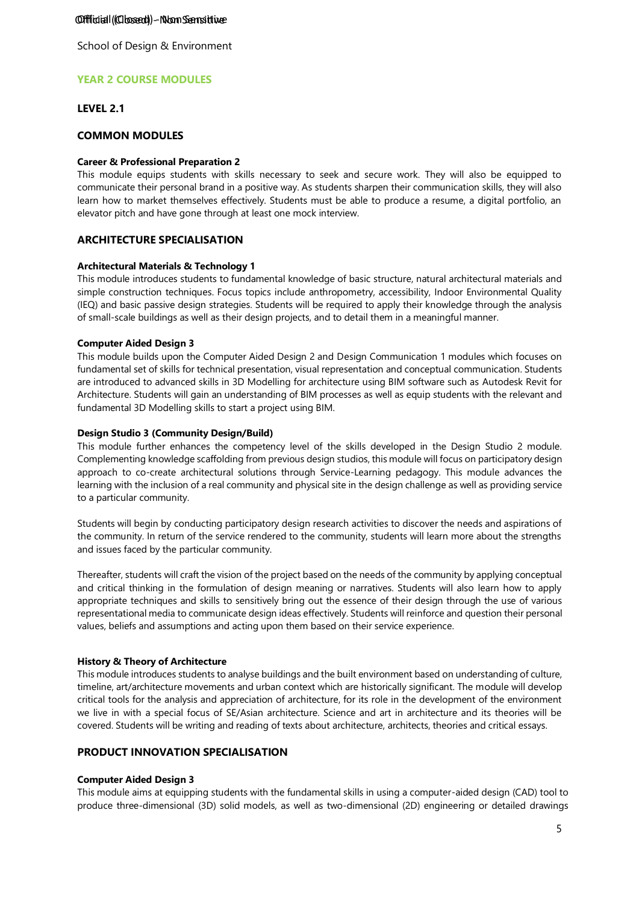## Offficial (Closed) - Non Sensitive

School of Design & Environment

# **YEAR 2 COURSE MODULES**

## **LEVEL 2.1**

## **COMMON MODULES**

#### **Career & Professional Preparation 2**

This module equips students with skills necessary to seek and secure work. They will also be equipped to communicate their personal brand in a positive way. As students sharpen their communication skills, they will also learn how to market themselves effectively. Students must be able to produce a resume, a digital portfolio, an elevator pitch and have gone through at least one mock interview.

# **ARCHITECTURE SPECIALISATION**

#### **Architectural Materials & Technology 1**

This module introduces students to fundamental knowledge of basic structure, natural architectural materials and simple construction techniques. Focus topics include anthropometry, accessibility, Indoor Environmental Quality (IEQ) and basic passive design strategies. Students will be required to apply their knowledge through the analysis of small-scale buildings as well as their design projects, and to detail them in a meaningful manner.

#### **Computer Aided Design 3**

This module builds upon the Computer Aided Design 2 and Design Communication 1 modules which focuses on fundamental set of skills for technical presentation, visual representation and conceptual communication. Students are introduced to advanced skills in 3D Modelling for architecture using BIM software such as Autodesk Revit for Architecture. Students will gain an understanding of BIM processes as well as equip students with the relevant and fundamental 3D Modelling skills to start a project using BIM.

#### **Design Studio 3 (Community Design/Build)**

This module further enhances the competency level of the skills developed in the Design Studio 2 module. Complementing knowledge scaffolding from previous design studios, this module will focus on participatory design approach to co-create architectural solutions through Service-Learning pedagogy. This module advances the learning with the inclusion of a real community and physical site in the design challenge as well as providing service to a particular community.

Students will begin by conducting participatory design research activities to discover the needs and aspirations of the community. In return of the service rendered to the community, students will learn more about the strengths and issues faced by the particular community.

Thereafter, students will craft the vision of the project based on the needs of the community by applying conceptual and critical thinking in the formulation of design meaning or narratives. Students will also learn how to apply appropriate techniques and skills to sensitively bring out the essence of their design through the use of various representational media to communicate design ideas effectively. Students will reinforce and question their personal values, beliefs and assumptions and acting upon them based on their service experience.

#### **History & Theory of Architecture**

This module introduces students to analyse buildings and the built environment based on understanding of culture, timeline, art/architecture movements and urban context which are historically significant. The module will develop critical tools for the analysis and appreciation of architecture, for its role in the development of the environment we live in with a special focus of SE/Asian architecture. Science and art in architecture and its theories will be covered. Students will be writing and reading of texts about architecture, architects, theories and critical essays.

# **PRODUCT INNOVATION SPECIALISATION**

#### **Computer Aided Design 3**

This module aims at equipping students with the fundamental skills in using a computer-aided design (CAD) tool to produce three-dimensional (3D) solid models, as well as two-dimensional (2D) engineering or detailed drawings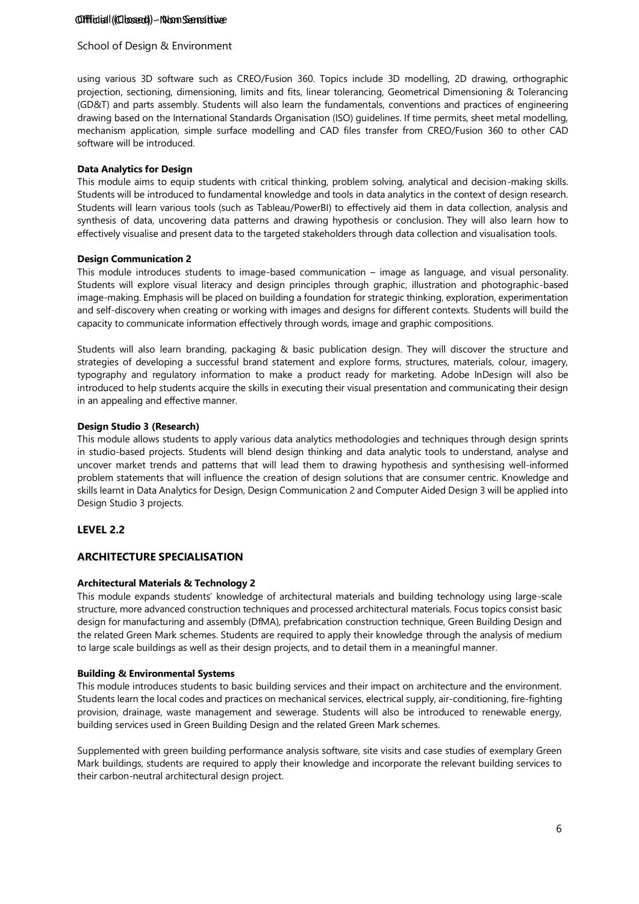## Offficial (Closed) - Non Sensitive

# School of Design & Environment

using various 3D software such as CREO/Fusion 360. Topics include 3D modelling, 2D drawing, orthographic projection, sectioning, dimensioning, limits and fits, linear tolerancing, Geometrical Dimensioning & Tolerancing (GD&T) and parts assembly. Students will also learn the fundamentals, conventions and practices of engineering drawing based on the International Standards Organisation (ISO) guidelines. If time permits, sheet metal modelling, mechanism application, simple surface modelling and CAD files transfer from CREO/Fusion 360 to other CAD software will be introduced.

## **Data Analytics for Design**

This module aims to equip students with critical thinking, problem solving, analytical and decision-making skills. Students will be introduced to fundamental knowledge and tools in data analytics in the context of design research. Students will learn various tools (such as Tableau/PowerBI) to effectively aid them in data collection, analysis and synthesis of data, uncovering data patterns and drawing hypothesis or conclusion. They will also learn how to effectively visualise and present data to the targeted stakeholders through data collection and visualisation tools.

## **Design Communication 2**

This module introduces students to image-based communication – image as language, and visual personality. Students will explore visual literacy and design principles through graphic, illustration and photographic-based image-making. Emphasis will be placed on building a foundation for strategic thinking, exploration, experimentation and self-discovery when creating or working with images and designs for different contexts. Students will build the capacity to communicate information effectively through words, image and graphic compositions.

Students will also learn branding, packaging & basic publication design. They will discover the structure and strategies of developing a successful brand statement and explore forms, structures, materials, colour, imagery, typography and regulatory information to make a product ready for marketing. Adobe InDesign will also be introduced to help students acquire the skills in executing their visual presentation and communicating their design in an appealing and effective manner.

## **Design Studio 3 (Research)**

This module allows students to apply various data analytics methodologies and techniques through design sprints in studio-based projects. Students will blend design thinking and data analytic tools to understand, analyse and uncover market trends and patterns that will lead them to drawing hypothesis and synthesising well-informed problem statements that will influence the creation of design solutions that are consumer centric. Knowledge and skills learnt in Data Analytics for Design, Design Communication 2 and Computer Aided Design 3 will be applied into Design Studio 3 projects.

# **LEVEL 2.2**

# **ARCHITECTURE SPECIALISATION**

# **Architectural Materials & Technology 2**

This module expands students' knowledge of architectural materials and building technology using large-scale structure, more advanced construction techniques and processed architectural materials. Focus topics consist basic design for manufacturing and assembly (DfMA), prefabrication construction technique, Green Building Design and the related Green Mark schemes. Students are required to apply their knowledge through the analysis of medium to large scale buildings as well as their design projects, and to detail them in a meaningful manner.

#### **Building & Environmental Systems**

This module introduces students to basic building services and their impact on architecture and the environment. Students learn the local codes and practices on mechanical services, electrical supply, air-conditioning, fire-fighting provision, drainage, waste management and sewerage. Students will also be introduced to renewable energy, building services used in Green Building Design and the related Green Mark schemes.

Supplemented with green building performance analysis software, site visits and case studies of exemplary Green Mark buildings, students are required to apply their knowledge and incorporate the relevant building services to their carbon-neutral architectural design project.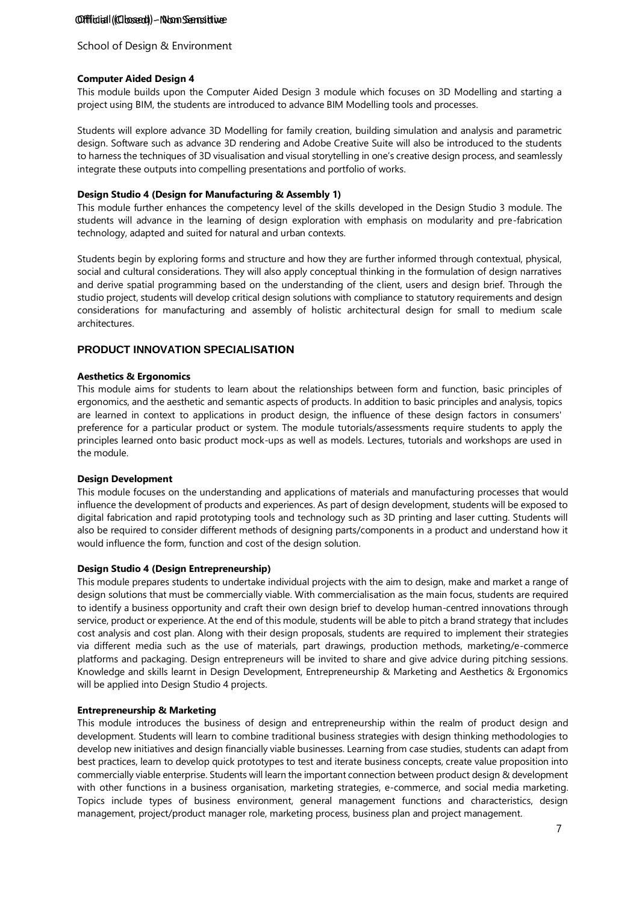## Offficial (Closed) - Non Sensitive

## School of Design & Environment

#### **Computer Aided Design 4**

This module builds upon the Computer Aided Design 3 module which focuses on 3D Modelling and starting a project using BIM, the students are introduced to advance BIM Modelling tools and processes.

Students will explore advance 3D Modelling for family creation, building simulation and analysis and parametric design. Software such as advance 3D rendering and Adobe Creative Suite will also be introduced to the students to harness the techniques of 3D visualisation and visual storytelling in one's creative design process, and seamlessly integrate these outputs into compelling presentations and portfolio of works.

#### **Design Studio 4 (Design for Manufacturing & Assembly 1)**

This module further enhances the competency level of the skills developed in the Design Studio 3 module. The students will advance in the learning of design exploration with emphasis on modularity and pre-fabrication technology, adapted and suited for natural and urban contexts.

Students begin by exploring forms and structure and how they are further informed through contextual, physical, social and cultural considerations. They will also apply conceptual thinking in the formulation of design narratives and derive spatial programming based on the understanding of the client, users and design brief. Through the studio project, students will develop critical design solutions with compliance to statutory requirements and design considerations for manufacturing and assembly of holistic architectural design for small to medium scale architectures.

## **PRODUCT INNOVATION SPECIALISATION**

#### **Aesthetics & Ergonomics**

This module aims for students to learn about the relationships between form and function, basic principles of ergonomics, and the aesthetic and semantic aspects of products. In addition to basic principles and analysis, topics are learned in context to applications in product design, the influence of these design factors in consumers' preference for a particular product or system. The module tutorials/assessments require students to apply the principles learned onto basic product mock-ups as well as models. Lectures, tutorials and workshops are used in the module.

#### **Design Development**

This module focuses on the understanding and applications of materials and manufacturing processes that would influence the development of products and experiences. As part of design development, students will be exposed to digital fabrication and rapid prototyping tools and technology such as 3D printing and laser cutting. Students will also be required to consider different methods of designing parts/components in a product and understand how it would influence the form, function and cost of the design solution.

#### **Design Studio 4 (Design Entrepreneurship)**

This module prepares students to undertake individual projects with the aim to design, make and market a range of design solutions that must be commercially viable. With commercialisation as the main focus, students are required to identify a business opportunity and craft their own design brief to develop human-centred innovations through service, product or experience. At the end of this module, students will be able to pitch a brand strategy that includes cost analysis and cost plan. Along with their design proposals, students are required to implement their strategies via different media such as the use of materials, part drawings, production methods, marketing/e-commerce platforms and packaging. Design entrepreneurs will be invited to share and give advice during pitching sessions. Knowledge and skills learnt in Design Development, Entrepreneurship & Marketing and Aesthetics & Ergonomics will be applied into Design Studio 4 projects.

### **Entrepreneurship & Marketing**

This module introduces the business of design and entrepreneurship within the realm of product design and development. Students will learn to combine traditional business strategies with design thinking methodologies to develop new initiatives and design financially viable businesses. Learning from case studies, students can adapt from best practices, learn to develop quick prototypes to test and iterate business concepts, create value proposition into commercially viable enterprise. Students will learn the important connection between product design & development with other functions in a business organisation, marketing strategies, e-commerce, and social media marketing. Topics include types of business environment, general management functions and characteristics, design management, project/product manager role, marketing process, business plan and project management.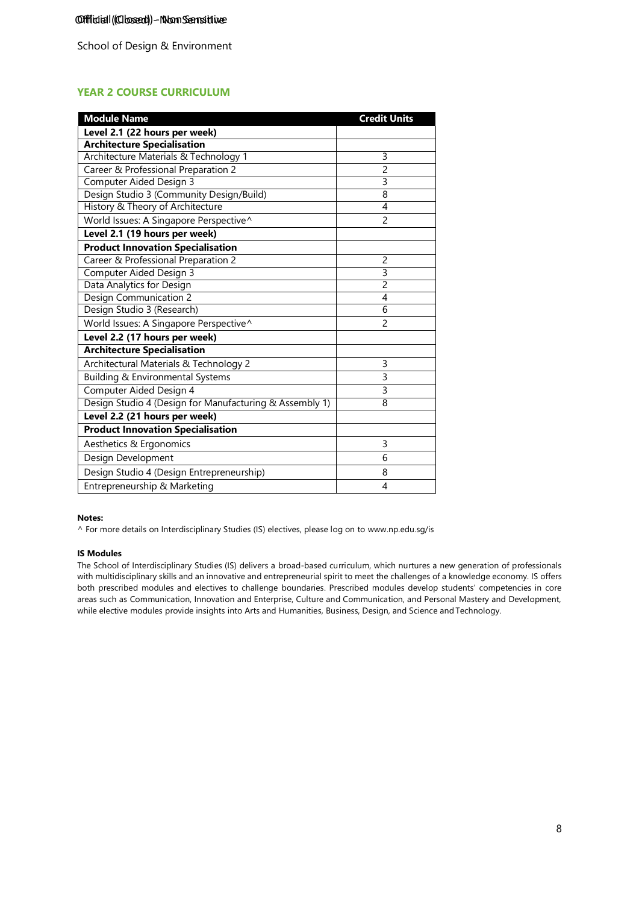# **YEAR 2 COURSE CURRICULUM**

| <b>Module Name</b>                                      | <b>Credit Units</b> |
|---------------------------------------------------------|---------------------|
| Level 2.1 (22 hours per week)                           |                     |
| <b>Architecture Specialisation</b>                      |                     |
| Architecture Materials & Technology 1                   | 3                   |
| Career & Professional Preparation 2                     | 2                   |
| <b>Computer Aided Design 3</b>                          | 3                   |
| Design Studio 3 (Community Design/Build)                | 8                   |
| History & Theory of Architecture                        | 4                   |
| World Issues: A Singapore Perspective^                  | $\overline{c}$      |
| Level 2.1 (19 hours per week)                           |                     |
| <b>Product Innovation Specialisation</b>                |                     |
| Career & Professional Preparation 2                     | 2                   |
| Computer Aided Design 3                                 | 3                   |
| Data Analytics for Design                               | $\overline{2}$      |
| <b>Design Communication 2</b>                           | 4                   |
| Design Studio 3 (Research)                              | 6                   |
| World Issues: A Singapore Perspective^                  | $\overline{c}$      |
| Level 2.2 (17 hours per week)                           |                     |
| <b>Architecture Specialisation</b>                      |                     |
| Architectural Materials & Technology 2                  | 3                   |
| Building & Environmental Systems                        | 3                   |
| Computer Aided Design 4                                 | 3                   |
| Design Studio 4 (Design for Manufacturing & Assembly 1) | 8                   |
| Level 2.2 (21 hours per week)                           |                     |
| <b>Product Innovation Specialisation</b>                |                     |
| Aesthetics & Ergonomics                                 | 3                   |
| Design Development                                      | 6                   |
| Design Studio 4 (Design Entrepreneurship)               | 8                   |
| Entrepreneurship & Marketing                            | 4                   |

#### **Notes:**

^ For more details on Interdisciplinary Studies (IS) electives, please log on to [www.np.edu.sg/is](http://www.np.edu.sg/is/)

#### **IS Modules**

The School of Interdisciplinary Studies (IS) delivers a broad-based curriculum, which nurtures a new generation of professionals with multidisciplinary skills and an innovative and entrepreneurial spirit to meet the challenges of a knowledge economy. IS offers both prescribed modules and electives to challenge boundaries. Prescribed modules develop students' competencies in core areas such as Communication, Innovation and Enterprise, Culture and Communication, and Personal Mastery and Development, while elective modules provide insights into Arts and Humanities, Business, Design, and Science and Technology.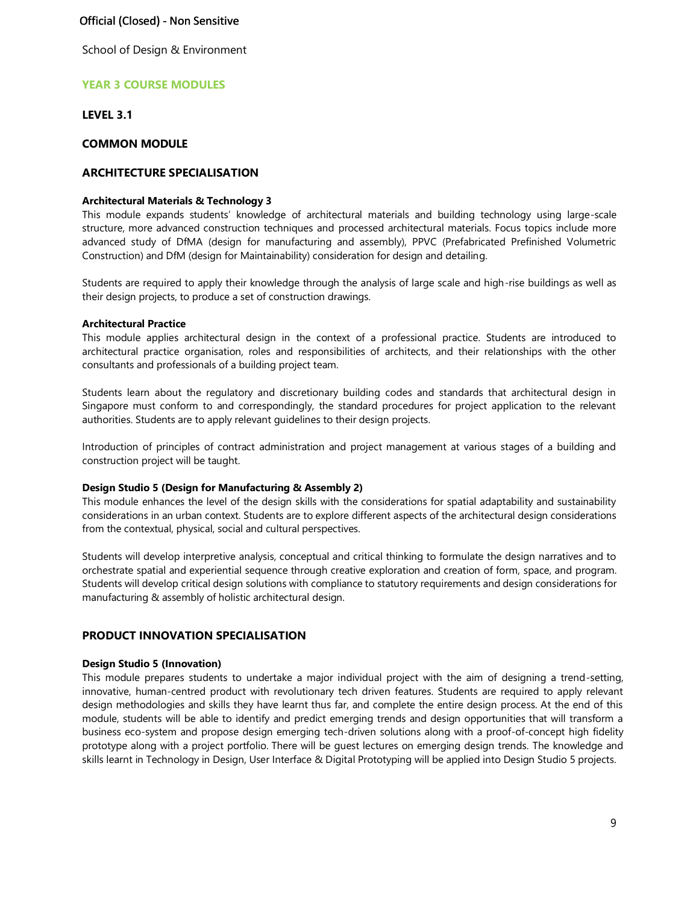## Official (Closed) - Non Sensitive

School of Design & Environment

## **YEAR 3 COURSE MODULES**

**LEVEL 3.1** 

#### **COMMON MODULE**

# **ARCHITECTURE SPECIALISATION**

#### **Architectural Materials & Technology 3**

This module expands students' knowledge of architectural materials and building technology using large-scale structure, more advanced construction techniques and processed architectural materials. Focus topics include more advanced study of DfMA (design for manufacturing and assembly), PPVC (Prefabricated Prefinished Volumetric Construction) and DfM (design for Maintainability) consideration for design and detailing.

Students are required to apply their knowledge through the analysis of large scale and high-rise buildings as well as their design projects, to produce a set of construction drawings.

#### **Architectural Practice**

This module applies architectural design in the context of a professional practice. Students are introduced to architectural practice organisation, roles and responsibilities of architects, and their relationships with the other consultants and professionals of a building project team.

Students learn about the regulatory and discretionary building codes and standards that architectural design in Singapore must conform to and correspondingly, the standard procedures for project application to the relevant authorities. Students are to apply relevant guidelines to their design projects.

Introduction of principles of contract administration and project management at various stages of a building and construction project will be taught.

#### **Design Studio 5 (Design for Manufacturing & Assembly 2)**

This module enhances the level of the design skills with the considerations for spatial adaptability and sustainability considerations in an urban context. Students are to explore different aspects of the architectural design considerations from the contextual, physical, social and cultural perspectives.

Students will develop interpretive analysis, conceptual and critical thinking to formulate the design narratives and to orchestrate spatial and experiential sequence through creative exploration and creation of form, space, and program. Students will develop critical design solutions with compliance to statutory requirements and design considerations for manufacturing & assembly of holistic architectural design.

## **PRODUCT INNOVATION SPECIALISATION**

#### **Design Studio 5 (Innovation)**

This module prepares students to undertake a major individual project with the aim of designing a trend-setting, innovative, human-centred product with revolutionary tech driven features. Students are required to apply relevant design methodologies and skills they have learnt thus far, and complete the entire design process. At the end of this module, students will be able to identify and predict emerging trends and design opportunities that will transform a business eco-system and propose design emerging tech-driven solutions along with a proof-of-concept high fidelity prototype along with a project portfolio. There will be guest lectures on emerging design trends. The knowledge and skills learnt in Technology in Design, User Interface & Digital Prototyping will be applied into Design Studio 5 projects.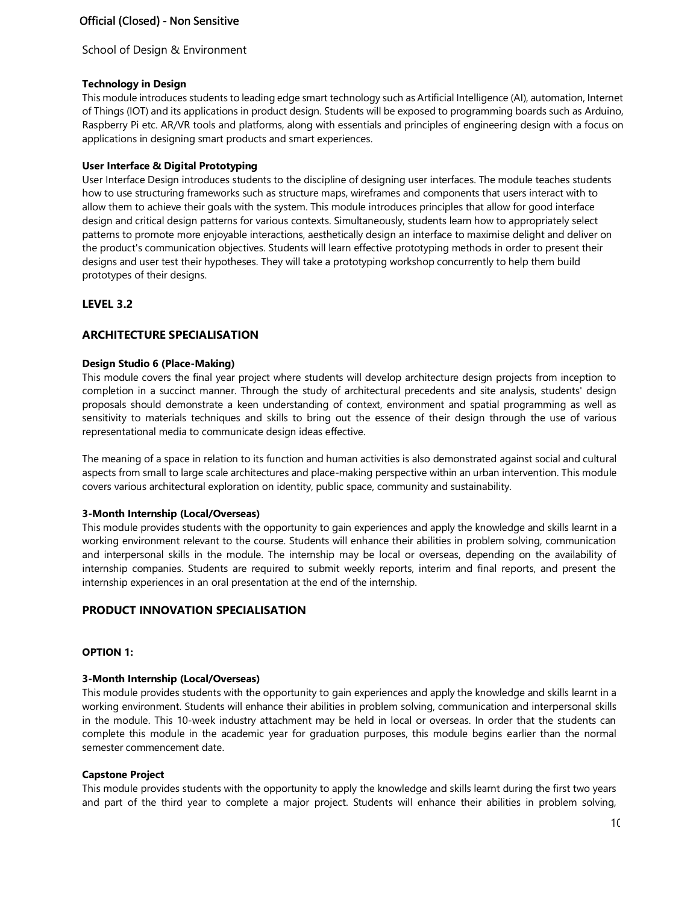## **Technology in Design**

This module introduces students to leading edge smart technology such as Artificial Intelligence (AI), automation, Internet of Things (IOT) and its applications in product design. Students will be exposed to programming boards such as Arduino, Raspberry Pi etc. AR/VR tools and platforms, along with essentials and principles of engineering design with a focus on applications in designing smart products and smart experiences.

## **User Interface & Digital Prototyping**

User Interface Design introduces students to the discipline of designing user interfaces. The module teaches students how to use structuring frameworks such as structure maps, wireframes and components that users interact with to allow them to achieve their goals with the system. This module introduces principles that allow for good interface design and critical design patterns for various contexts. Simultaneously, students learn how to appropriately select patterns to promote more enjoyable interactions, aesthetically design an interface to maximise delight and deliver on the product's communication objectives. Students will learn effective prototyping methods in order to present their designs and user test their hypotheses. They will take a prototyping workshop concurrently to help them build prototypes of their designs.

# **LEVEL 3.2**

# **ARCHITECTURE SPECIALISATION**

## **Design Studio 6 (Place-Making)**

This module covers the final year project where students will develop architecture design projects from inception to completion in a succinct manner. Through the study of architectural precedents and site analysis, students' design proposals should demonstrate a keen understanding of context, environment and spatial programming as well as sensitivity to materials techniques and skills to bring out the essence of their design through the use of various representational media to communicate design ideas effective.

The meaning of a space in relation to its function and human activities is also demonstrated against social and cultural aspects from small to large scale architectures and place-making perspective within an urban intervention. This module covers various architectural exploration on identity, public space, community and sustainability.

## **3-Month Internship (Local/Overseas)**

This module provides students with the opportunity to gain experiences and apply the knowledge and skills learnt in a working environment relevant to the course. Students will enhance their abilities in problem solving, communication and interpersonal skills in the module. The internship may be local or overseas, depending on the availability of internship companies. Students are required to submit weekly reports, interim and final reports, and present the internship experiences in an oral presentation at the end of the internship.

# **PRODUCT INNOVATION SPECIALISATION**

### **OPTION 1:**

### **3-Month Internship (Local/Overseas)**

This module provides students with the opportunity to gain experiences and apply the knowledge and skills learnt in a working environment. Students will enhance their abilities in problem solving, communication and interpersonal skills in the module. This 10-week industry attachment may be held in local or overseas. In order that the students can complete this module in the academic year for graduation purposes, this module begins earlier than the normal semester commencement date.

### **Capstone Project**

This module provides students with the opportunity to apply the knowledge and skills learnt during the first two years and part of the third year to complete a major project. Students will enhance their abilities in problem solving,